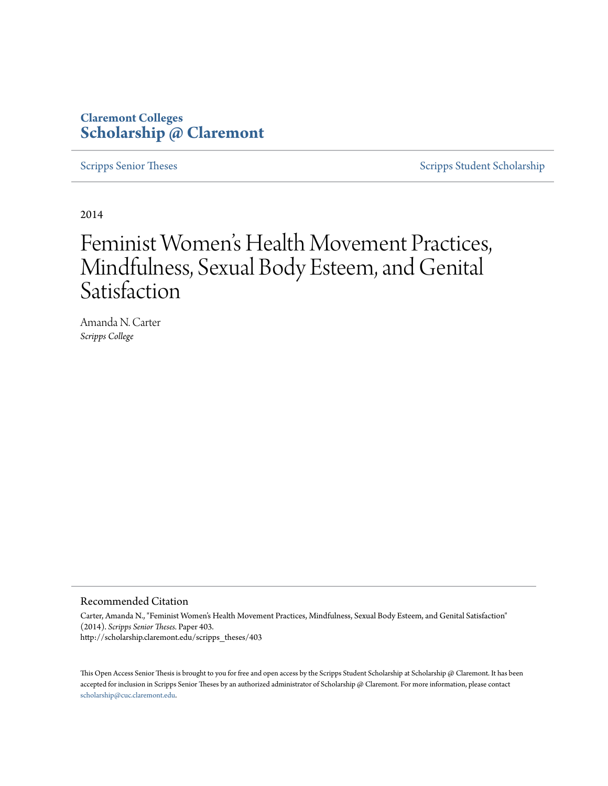## **Claremont Colleges [Scholarship @ Claremont](http://scholarship.claremont.edu)**

[Scripps Senior Theses](http://scholarship.claremont.edu/scripps_theses) [Scripps Student Scholarship](http://scholarship.claremont.edu/scripps_student)

2014

# Feminist Women 's Health Movement Practices, Mindfulness, Sexual Body Esteem, and Genital Satisfaction

Amanda N. Carter *Scripps College*

#### Recommended Citation

Carter, Amanda N., "Feminist Women's Health Movement Practices, Mindfulness, Sexual Body Esteem, and Genital Satisfaction" (2014). *Scripps Senior Theses.* Paper 403. http://scholarship.claremont.edu/scripps\_theses/403

This Open Access Senior Thesis is brought to you for free and open access by the Scripps Student Scholarship at Scholarship @ Claremont. It has been accepted for inclusion in Scripps Senior Theses by an authorized administrator of Scholarship @ Claremont. For more information, please contact [scholarship@cuc.claremont.edu.](mailto:scholarship@cuc.claremont.edu)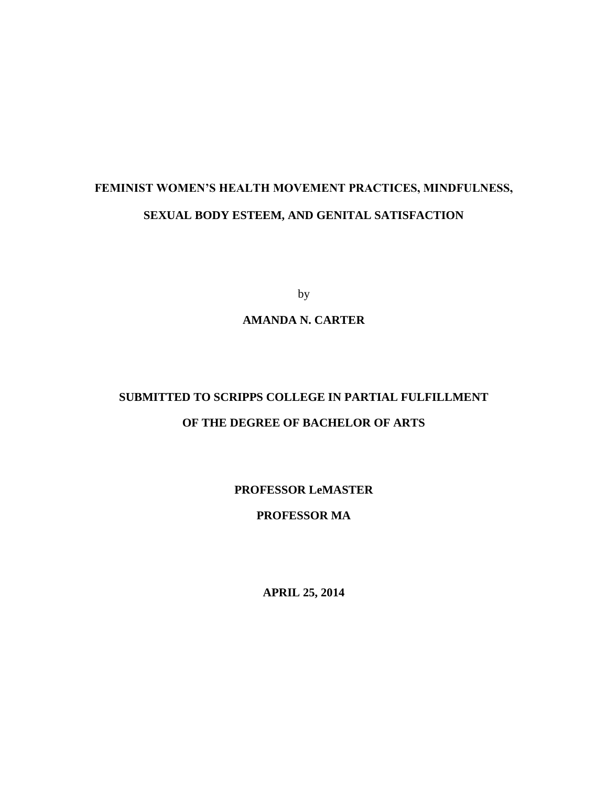## **FEMINIST WOMEN'S HEALTH MOVEMENT PRACTICES, MINDFULNESS, SEXUAL BODY ESTEEM, AND GENITAL SATISFACTION**

by

## **AMANDA N. CARTER**

## **SUBMITTED TO SCRIPPS COLLEGE IN PARTIAL FULFILLMENT OF THE DEGREE OF BACHELOR OF ARTS**

**PROFESSOR LeMASTER**

### **PROFESSOR MA**

**APRIL 25, 2014**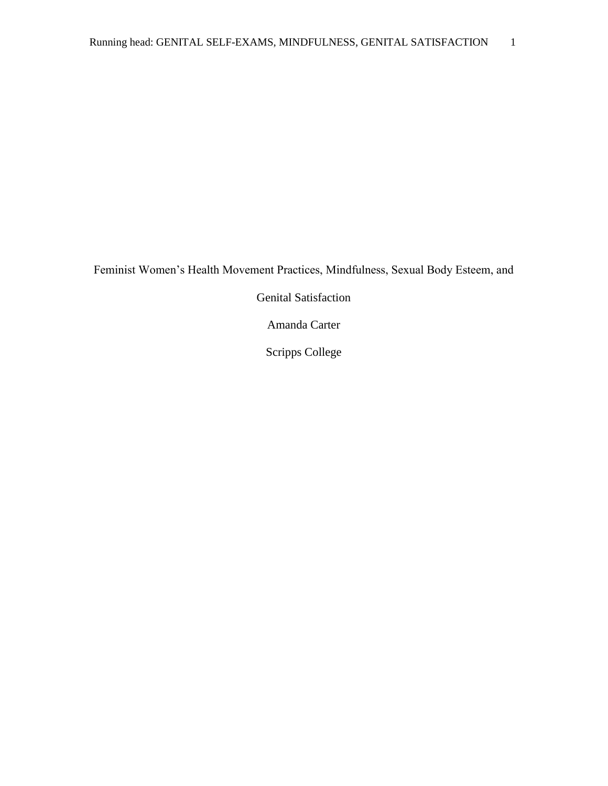Feminist Women's Health Movement Practices, Mindfulness, Sexual Body Esteem, and

Genital Satisfaction

Amanda Carter

Scripps College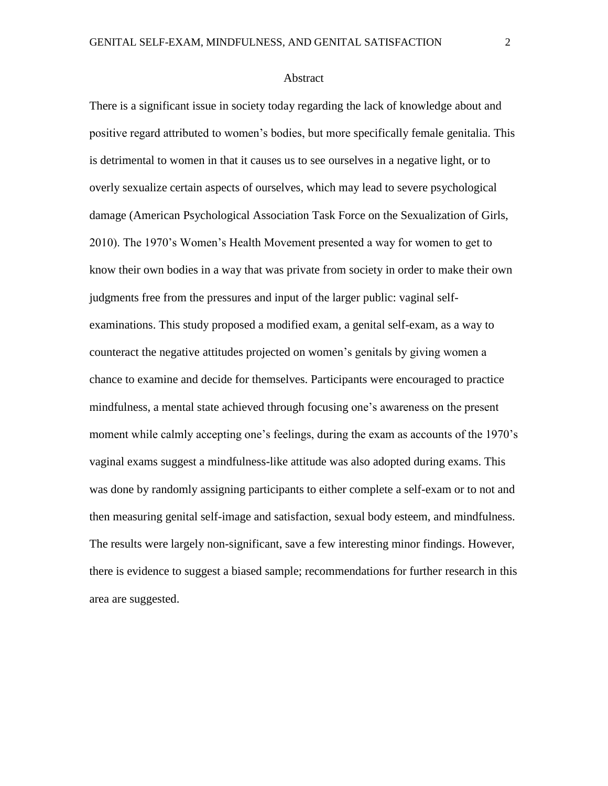#### Abstract

There is a significant issue in society today regarding the lack of knowledge about and positive regard attributed to women's bodies, but more specifically female genitalia. This is detrimental to women in that it causes us to see ourselves in a negative light, or to overly sexualize certain aspects of ourselves, which may lead to severe psychological damage (American Psychological Association Task Force on the Sexualization of Girls, 2010). The 1970's Women's Health Movement presented a way for women to get to know their own bodies in a way that was private from society in order to make their own judgments free from the pressures and input of the larger public: vaginal selfexaminations. This study proposed a modified exam, a genital self-exam, as a way to counteract the negative attitudes projected on women's genitals by giving women a chance to examine and decide for themselves. Participants were encouraged to practice mindfulness, a mental state achieved through focusing one's awareness on the present moment while calmly accepting one's feelings, during the exam as accounts of the 1970's vaginal exams suggest a mindfulness-like attitude was also adopted during exams. This was done by randomly assigning participants to either complete a self-exam or to not and then measuring genital self-image and satisfaction, sexual body esteem, and mindfulness. The results were largely non-significant, save a few interesting minor findings. However, there is evidence to suggest a biased sample; recommendations for further research in this area are suggested.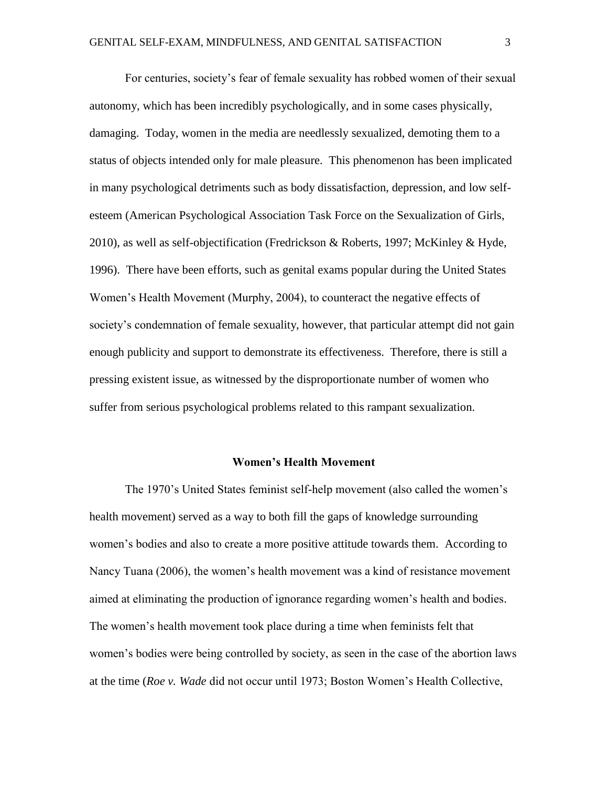For centuries, society's fear of female sexuality has robbed women of their sexual autonomy, which has been incredibly psychologically, and in some cases physically, damaging. Today, women in the media are needlessly sexualized, demoting them to a status of objects intended only for male pleasure. This phenomenon has been implicated in many psychological detriments such as body dissatisfaction, depression, and low selfesteem (American Psychological Association Task Force on the Sexualization of Girls, 2010), as well as self-objectification (Fredrickson & Roberts, 1997; McKinley & Hyde, 1996). There have been efforts, such as genital exams popular during the United States Women's Health Movement (Murphy, 2004), to counteract the negative effects of society's condemnation of female sexuality, however, that particular attempt did not gain enough publicity and support to demonstrate its effectiveness. Therefore, there is still a pressing existent issue, as witnessed by the disproportionate number of women who suffer from serious psychological problems related to this rampant sexualization.

#### **Women's Health Movement**

The 1970's United States feminist self-help movement (also called the women's health movement) served as a way to both fill the gaps of knowledge surrounding women's bodies and also to create a more positive attitude towards them. According to Nancy Tuana (2006), the women's health movement was a kind of resistance movement aimed at eliminating the production of ignorance regarding women's health and bodies. The women's health movement took place during a time when feminists felt that women's bodies were being controlled by society, as seen in the case of the abortion laws at the time (*Roe v. Wade* did not occur until 1973; Boston Women's Health Collective,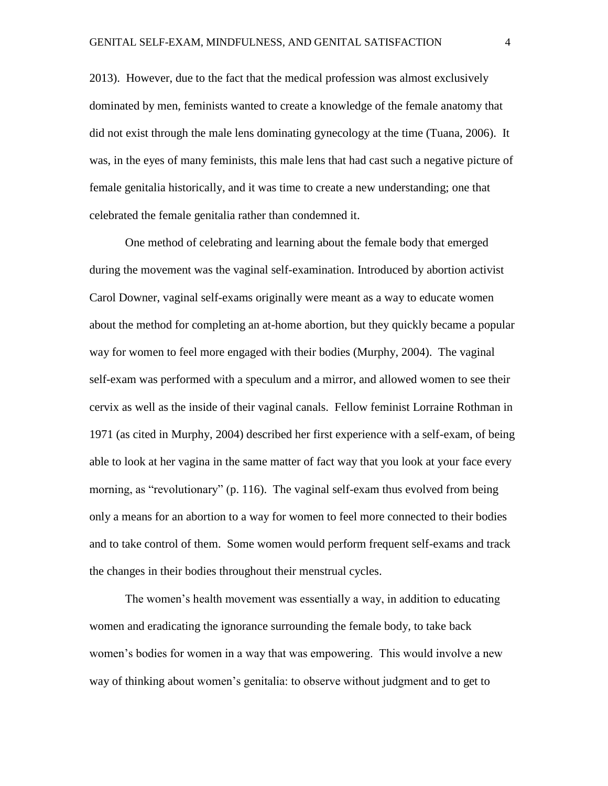2013). However, due to the fact that the medical profession was almost exclusively dominated by men, feminists wanted to create a knowledge of the female anatomy that did not exist through the male lens dominating gynecology at the time (Tuana, 2006). It was, in the eyes of many feminists, this male lens that had cast such a negative picture of female genitalia historically, and it was time to create a new understanding; one that celebrated the female genitalia rather than condemned it.

One method of celebrating and learning about the female body that emerged during the movement was the vaginal self-examination. Introduced by abortion activist Carol Downer, vaginal self-exams originally were meant as a way to educate women about the method for completing an at-home abortion, but they quickly became a popular way for women to feel more engaged with their bodies (Murphy, 2004). The vaginal self-exam was performed with a speculum and a mirror, and allowed women to see their cervix as well as the inside of their vaginal canals. Fellow feminist Lorraine Rothman in 1971 (as cited in Murphy, 2004) described her first experience with a self-exam, of being able to look at her vagina in the same matter of fact way that you look at your face every morning, as "revolutionary" (p. 116). The vaginal self-exam thus evolved from being only a means for an abortion to a way for women to feel more connected to their bodies and to take control of them. Some women would perform frequent self-exams and track the changes in their bodies throughout their menstrual cycles.

The women's health movement was essentially a way, in addition to educating women and eradicating the ignorance surrounding the female body, to take back women's bodies for women in a way that was empowering. This would involve a new way of thinking about women's genitalia: to observe without judgment and to get to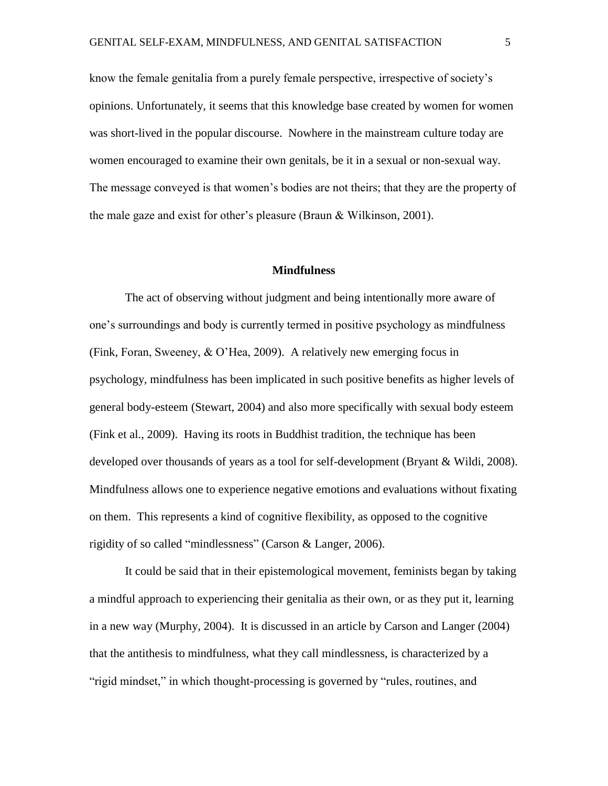know the female genitalia from a purely female perspective, irrespective of society's opinions. Unfortunately, it seems that this knowledge base created by women for women was short-lived in the popular discourse. Nowhere in the mainstream culture today are women encouraged to examine their own genitals, be it in a sexual or non-sexual way. The message conveyed is that women's bodies are not theirs; that they are the property of the male gaze and exist for other's pleasure (Braun & Wilkinson, 2001).

#### **Mindfulness**

The act of observing without judgment and being intentionally more aware of one's surroundings and body is currently termed in positive psychology as mindfulness (Fink, Foran, Sweeney, & O'Hea, 2009). A relatively new emerging focus in psychology, mindfulness has been implicated in such positive benefits as higher levels of general body-esteem (Stewart, 2004) and also more specifically with sexual body esteem (Fink et al., 2009). Having its roots in Buddhist tradition, the technique has been developed over thousands of years as a tool for self-development (Bryant & Wildi, 2008). Mindfulness allows one to experience negative emotions and evaluations without fixating on them. This represents a kind of cognitive flexibility, as opposed to the cognitive rigidity of so called "mindlessness" (Carson & Langer, 2006).

It could be said that in their epistemological movement, feminists began by taking a mindful approach to experiencing their genitalia as their own, or as they put it, learning in a new way (Murphy, 2004). It is discussed in an article by Carson and Langer (2004) that the antithesis to mindfulness, what they call mindlessness, is characterized by a "rigid mindset," in which thought-processing is governed by "rules, routines, and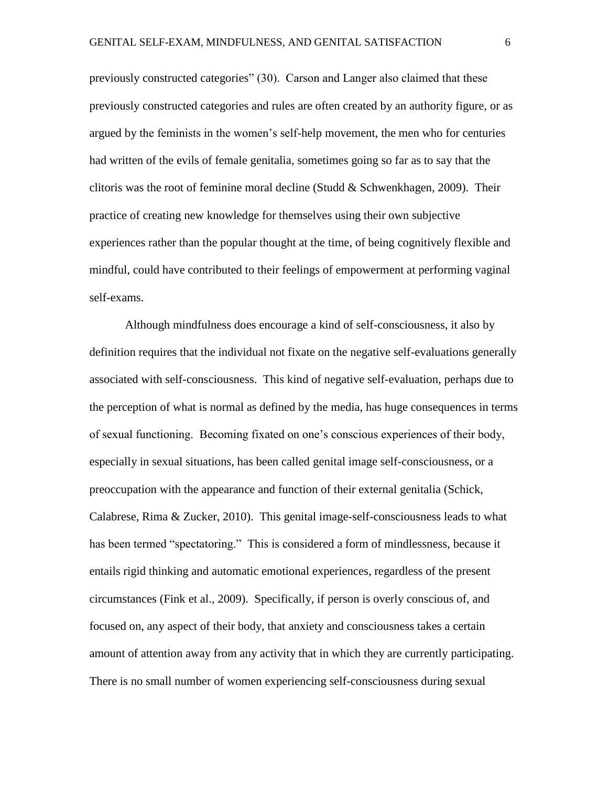previously constructed categories" (30). Carson and Langer also claimed that these previously constructed categories and rules are often created by an authority figure, or as argued by the feminists in the women's self-help movement, the men who for centuries had written of the evils of female genitalia, sometimes going so far as to say that the clitoris was the root of feminine moral decline (Studd  $&$  Schwenkhagen, 2009). Their practice of creating new knowledge for themselves using their own subjective experiences rather than the popular thought at the time, of being cognitively flexible and mindful, could have contributed to their feelings of empowerment at performing vaginal self-exams.

Although mindfulness does encourage a kind of self-consciousness, it also by definition requires that the individual not fixate on the negative self-evaluations generally associated with self-consciousness. This kind of negative self-evaluation, perhaps due to the perception of what is normal as defined by the media, has huge consequences in terms of sexual functioning. Becoming fixated on one's conscious experiences of their body, especially in sexual situations, has been called genital image self-consciousness, or a preoccupation with the appearance and function of their external genitalia (Schick, Calabrese, Rima & Zucker, 2010). This genital image-self-consciousness leads to what has been termed "spectatoring." This is considered a form of mindlessness, because it entails rigid thinking and automatic emotional experiences, regardless of the present circumstances (Fink et al., 2009). Specifically, if person is overly conscious of, and focused on, any aspect of their body, that anxiety and consciousness takes a certain amount of attention away from any activity that in which they are currently participating. There is no small number of women experiencing self-consciousness during sexual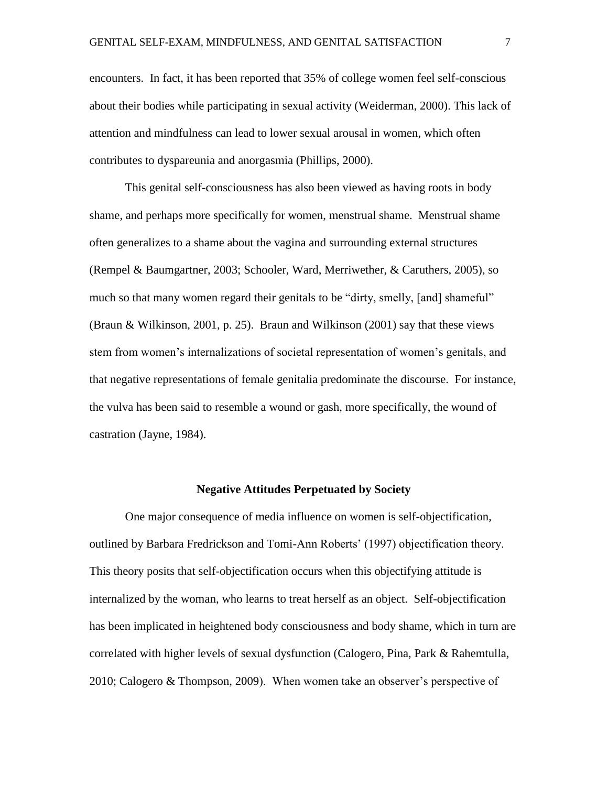encounters. In fact, it has been reported that 35% of college women feel self-conscious about their bodies while participating in sexual activity (Weiderman, 2000). This lack of attention and mindfulness can lead to lower sexual arousal in women, which often contributes to dyspareunia and anorgasmia (Phillips, 2000).

This genital self-consciousness has also been viewed as having roots in body shame, and perhaps more specifically for women, menstrual shame. Menstrual shame often generalizes to a shame about the vagina and surrounding external structures (Rempel & Baumgartner, 2003; Schooler, Ward, Merriwether, & Caruthers, 2005), so much so that many women regard their genitals to be "dirty, smelly, [and] shameful" (Braun & Wilkinson, 2001, p. 25). Braun and Wilkinson (2001) say that these views stem from women's internalizations of societal representation of women's genitals, and that negative representations of female genitalia predominate the discourse. For instance, the vulva has been said to resemble a wound or gash, more specifically, the wound of castration (Jayne, 1984).

#### **Negative Attitudes Perpetuated by Society**

One major consequence of media influence on women is self-objectification, outlined by Barbara Fredrickson and Tomi-Ann Roberts' (1997) objectification theory. This theory posits that self-objectification occurs when this objectifying attitude is internalized by the woman, who learns to treat herself as an object. Self-objectification has been implicated in heightened body consciousness and body shame, which in turn are correlated with higher levels of sexual dysfunction (Calogero, Pina, Park & Rahemtulla, 2010; Calogero & Thompson, 2009). When women take an observer's perspective of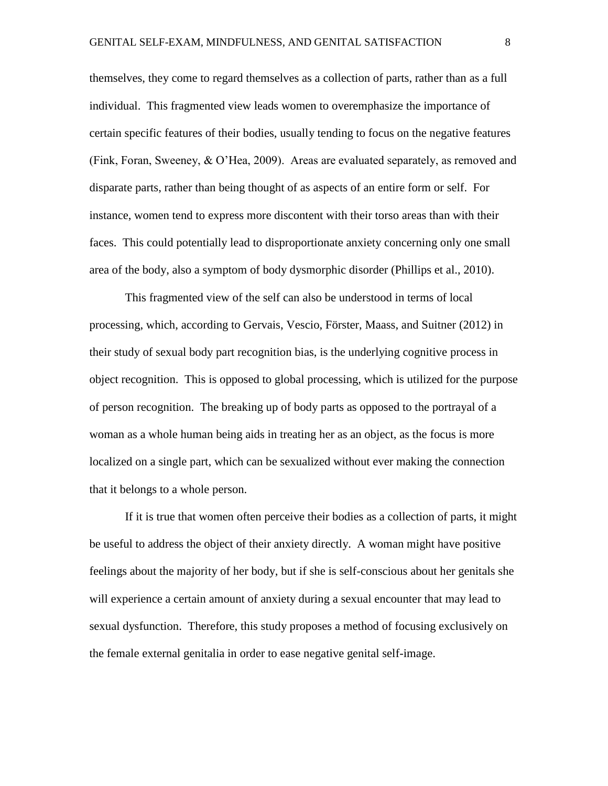themselves, they come to regard themselves as a collection of parts, rather than as a full individual. This fragmented view leads women to overemphasize the importance of certain specific features of their bodies, usually tending to focus on the negative features (Fink, Foran, Sweeney, & O'Hea, 2009). Areas are evaluated separately, as removed and disparate parts, rather than being thought of as aspects of an entire form or self. For instance, women tend to express more discontent with their torso areas than with their faces. This could potentially lead to disproportionate anxiety concerning only one small area of the body, also a symptom of body dysmorphic disorder (Phillips et al., 2010).

This fragmented view of the self can also be understood in terms of local processing, which, according to Gervais, Vescio, Förster, Maass, and Suitner (2012) in their study of sexual body part recognition bias, is the underlying cognitive process in object recognition. This is opposed to global processing, which is utilized for the purpose of person recognition. The breaking up of body parts as opposed to the portrayal of a woman as a whole human being aids in treating her as an object, as the focus is more localized on a single part, which can be sexualized without ever making the connection that it belongs to a whole person.

If it is true that women often perceive their bodies as a collection of parts, it might be useful to address the object of their anxiety directly. A woman might have positive feelings about the majority of her body, but if she is self-conscious about her genitals she will experience a certain amount of anxiety during a sexual encounter that may lead to sexual dysfunction. Therefore, this study proposes a method of focusing exclusively on the female external genitalia in order to ease negative genital self-image.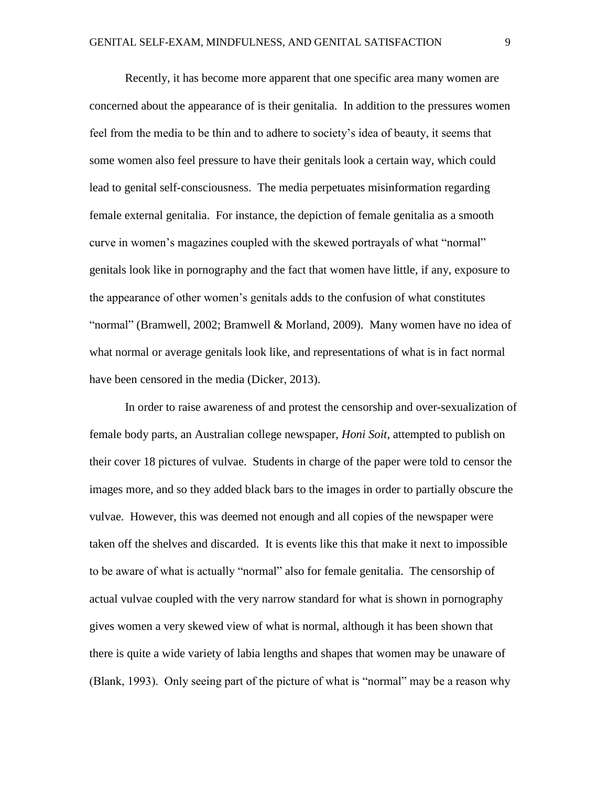Recently, it has become more apparent that one specific area many women are concerned about the appearance of is their genitalia. In addition to the pressures women feel from the media to be thin and to adhere to society's idea of beauty, it seems that some women also feel pressure to have their genitals look a certain way, which could lead to genital self-consciousness. The media perpetuates misinformation regarding female external genitalia. For instance, the depiction of female genitalia as a smooth curve in women's magazines coupled with the skewed portrayals of what "normal" genitals look like in pornography and the fact that women have little, if any, exposure to the appearance of other women's genitals adds to the confusion of what constitutes "normal" (Bramwell, 2002; Bramwell & Morland, 2009). Many women have no idea of what normal or average genitals look like, and representations of what is in fact normal have been censored in the media (Dicker, 2013).

In order to raise awareness of and protest the censorship and over-sexualization of female body parts, an Australian college newspaper, *Honi Soit*, attempted to publish on their cover 18 pictures of vulvae. Students in charge of the paper were told to censor the images more, and so they added black bars to the images in order to partially obscure the vulvae. However, this was deemed not enough and all copies of the newspaper were taken off the shelves and discarded. It is events like this that make it next to impossible to be aware of what is actually "normal" also for female genitalia. The censorship of actual vulvae coupled with the very narrow standard for what is shown in pornography gives women a very skewed view of what is normal, although it has been shown that there is quite a wide variety of labia lengths and shapes that women may be unaware of (Blank, 1993). Only seeing part of the picture of what is "normal" may be a reason why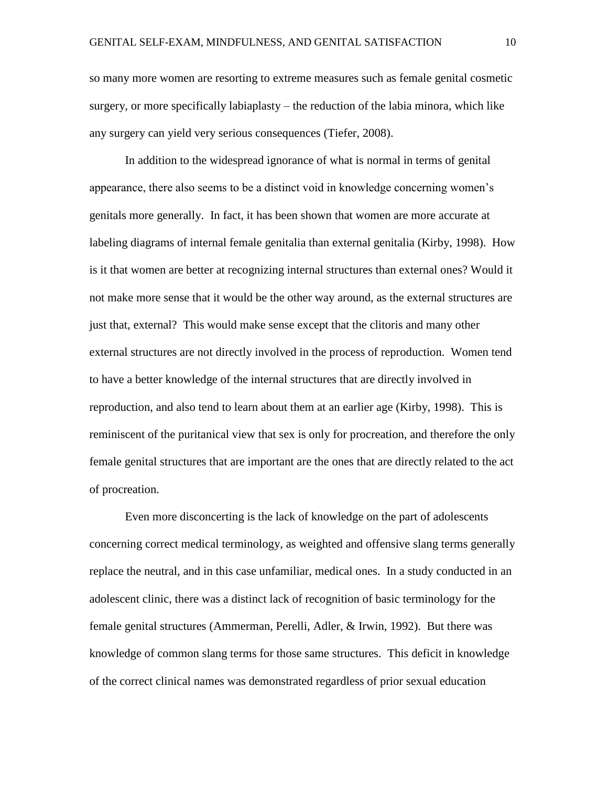so many more women are resorting to extreme measures such as female genital cosmetic surgery, or more specifically labiaplasty – the reduction of the labia minora, which like any surgery can yield very serious consequences (Tiefer, 2008).

In addition to the widespread ignorance of what is normal in terms of genital appearance, there also seems to be a distinct void in knowledge concerning women's genitals more generally. In fact, it has been shown that women are more accurate at labeling diagrams of internal female genitalia than external genitalia (Kirby, 1998). How is it that women are better at recognizing internal structures than external ones? Would it not make more sense that it would be the other way around, as the external structures are just that, external? This would make sense except that the clitoris and many other external structures are not directly involved in the process of reproduction. Women tend to have a better knowledge of the internal structures that are directly involved in reproduction, and also tend to learn about them at an earlier age (Kirby, 1998). This is reminiscent of the puritanical view that sex is only for procreation, and therefore the only female genital structures that are important are the ones that are directly related to the act of procreation.

Even more disconcerting is the lack of knowledge on the part of adolescents concerning correct medical terminology, as weighted and offensive slang terms generally replace the neutral, and in this case unfamiliar, medical ones. In a study conducted in an adolescent clinic, there was a distinct lack of recognition of basic terminology for the female genital structures (Ammerman, Perelli, Adler, & Irwin, 1992). But there was knowledge of common slang terms for those same structures. This deficit in knowledge of the correct clinical names was demonstrated regardless of prior sexual education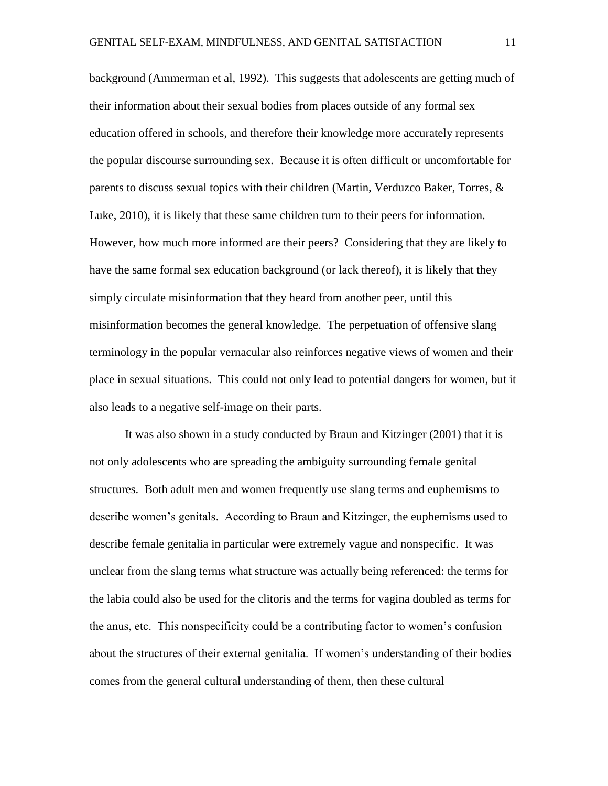background (Ammerman et al, 1992). This suggests that adolescents are getting much of their information about their sexual bodies from places outside of any formal sex education offered in schools, and therefore their knowledge more accurately represents the popular discourse surrounding sex. Because it is often difficult or uncomfortable for parents to discuss sexual topics with their children (Martin, Verduzco Baker, Torres, & Luke, 2010), it is likely that these same children turn to their peers for information. However, how much more informed are their peers? Considering that they are likely to have the same formal sex education background (or lack thereof), it is likely that they simply circulate misinformation that they heard from another peer, until this misinformation becomes the general knowledge. The perpetuation of offensive slang terminology in the popular vernacular also reinforces negative views of women and their place in sexual situations. This could not only lead to potential dangers for women, but it also leads to a negative self-image on their parts.

It was also shown in a study conducted by Braun and Kitzinger (2001) that it is not only adolescents who are spreading the ambiguity surrounding female genital structures. Both adult men and women frequently use slang terms and euphemisms to describe women's genitals. According to Braun and Kitzinger, the euphemisms used to describe female genitalia in particular were extremely vague and nonspecific. It was unclear from the slang terms what structure was actually being referenced: the terms for the labia could also be used for the clitoris and the terms for vagina doubled as terms for the anus, etc. This nonspecificity could be a contributing factor to women's confusion about the structures of their external genitalia. If women's understanding of their bodies comes from the general cultural understanding of them, then these cultural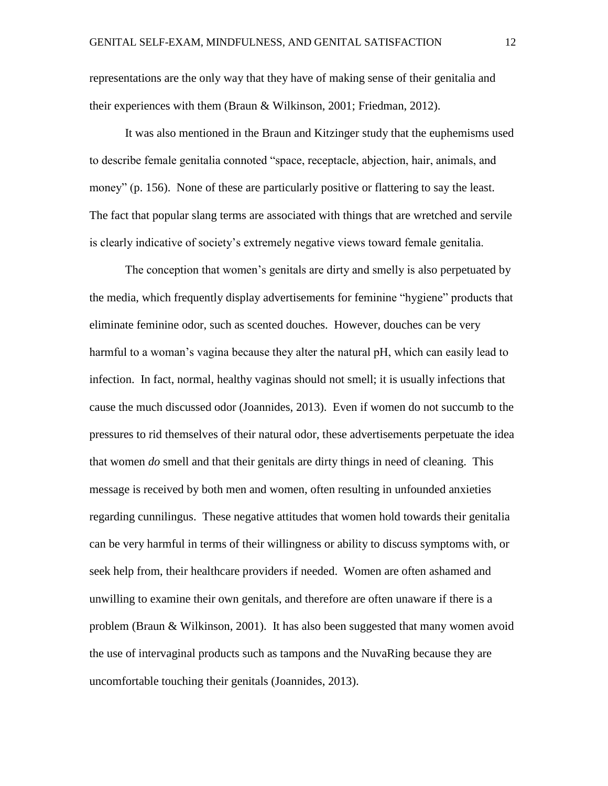representations are the only way that they have of making sense of their genitalia and their experiences with them (Braun & Wilkinson, 2001; Friedman, 2012).

It was also mentioned in the Braun and Kitzinger study that the euphemisms used to describe female genitalia connoted "space, receptacle, abjection, hair, animals, and money" (p. 156). None of these are particularly positive or flattering to say the least. The fact that popular slang terms are associated with things that are wretched and servile is clearly indicative of society's extremely negative views toward female genitalia.

The conception that women's genitals are dirty and smelly is also perpetuated by the media, which frequently display advertisements for feminine "hygiene" products that eliminate feminine odor, such as scented douches. However, douches can be very harmful to a woman's vagina because they alter the natural pH, which can easily lead to infection. In fact, normal, healthy vaginas should not smell; it is usually infections that cause the much discussed odor (Joannides, 2013). Even if women do not succumb to the pressures to rid themselves of their natural odor, these advertisements perpetuate the idea that women *do* smell and that their genitals are dirty things in need of cleaning. This message is received by both men and women, often resulting in unfounded anxieties regarding cunnilingus. These negative attitudes that women hold towards their genitalia can be very harmful in terms of their willingness or ability to discuss symptoms with, or seek help from, their healthcare providers if needed. Women are often ashamed and unwilling to examine their own genitals, and therefore are often unaware if there is a problem (Braun & Wilkinson, 2001). It has also been suggested that many women avoid the use of intervaginal products such as tampons and the NuvaRing because they are uncomfortable touching their genitals (Joannides, 2013).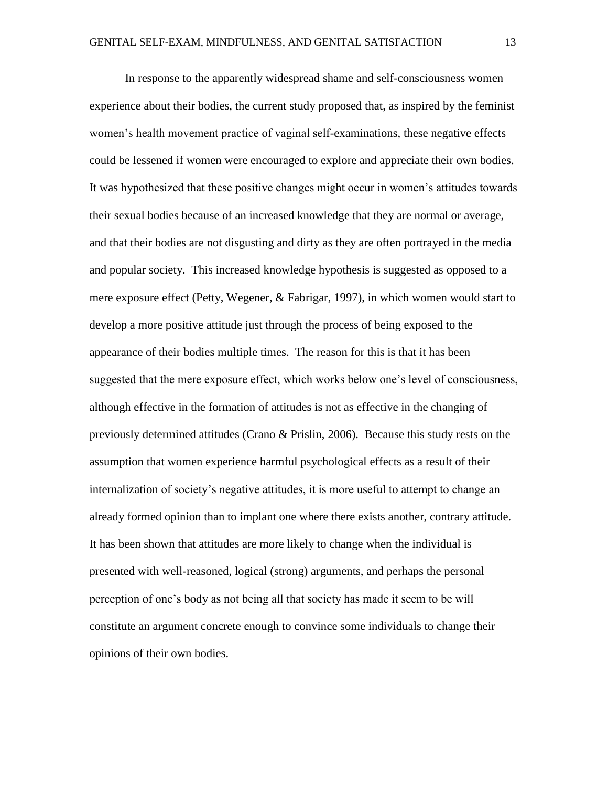In response to the apparently widespread shame and self-consciousness women experience about their bodies, the current study proposed that, as inspired by the feminist women's health movement practice of vaginal self-examinations, these negative effects could be lessened if women were encouraged to explore and appreciate their own bodies. It was hypothesized that these positive changes might occur in women's attitudes towards their sexual bodies because of an increased knowledge that they are normal or average, and that their bodies are not disgusting and dirty as they are often portrayed in the media and popular society. This increased knowledge hypothesis is suggested as opposed to a mere exposure effect (Petty, Wegener, & Fabrigar, 1997), in which women would start to develop a more positive attitude just through the process of being exposed to the appearance of their bodies multiple times. The reason for this is that it has been suggested that the mere exposure effect, which works below one's level of consciousness, although effective in the formation of attitudes is not as effective in the changing of previously determined attitudes (Crano & Prislin, 2006). Because this study rests on the assumption that women experience harmful psychological effects as a result of their internalization of society's negative attitudes, it is more useful to attempt to change an already formed opinion than to implant one where there exists another, contrary attitude. It has been shown that attitudes are more likely to change when the individual is presented with well-reasoned, logical (strong) arguments, and perhaps the personal perception of one's body as not being all that society has made it seem to be will constitute an argument concrete enough to convince some individuals to change their opinions of their own bodies.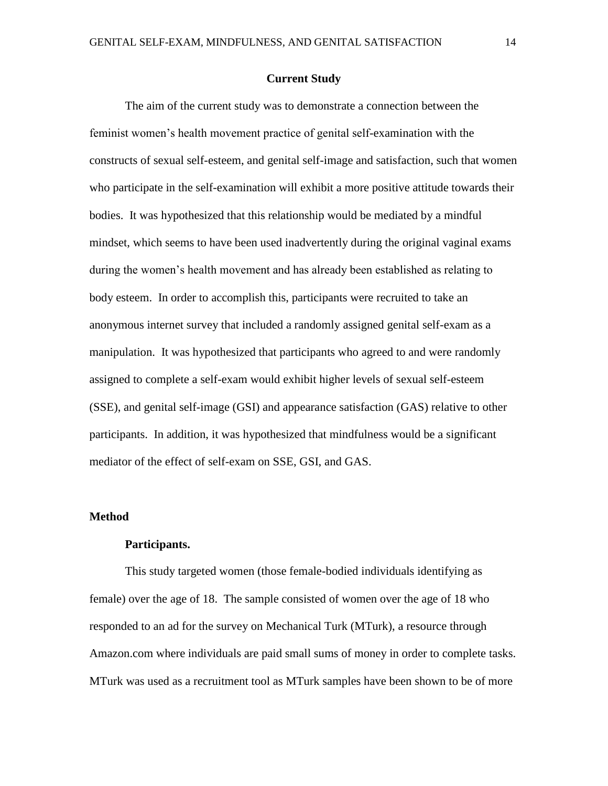#### **Current Study**

The aim of the current study was to demonstrate a connection between the feminist women's health movement practice of genital self-examination with the constructs of sexual self-esteem, and genital self-image and satisfaction, such that women who participate in the self-examination will exhibit a more positive attitude towards their bodies. It was hypothesized that this relationship would be mediated by a mindful mindset, which seems to have been used inadvertently during the original vaginal exams during the women's health movement and has already been established as relating to body esteem. In order to accomplish this, participants were recruited to take an anonymous internet survey that included a randomly assigned genital self-exam as a manipulation. It was hypothesized that participants who agreed to and were randomly assigned to complete a self-exam would exhibit higher levels of sexual self-esteem (SSE), and genital self-image (GSI) and appearance satisfaction (GAS) relative to other participants. In addition, it was hypothesized that mindfulness would be a significant mediator of the effect of self-exam on SSE, GSI, and GAS.

#### **Method**

#### **Participants.**

This study targeted women (those female-bodied individuals identifying as female) over the age of 18. The sample consisted of women over the age of 18 who responded to an ad for the survey on Mechanical Turk (MTurk), a resource through Amazon.com where individuals are paid small sums of money in order to complete tasks. MTurk was used as a recruitment tool as MTurk samples have been shown to be of more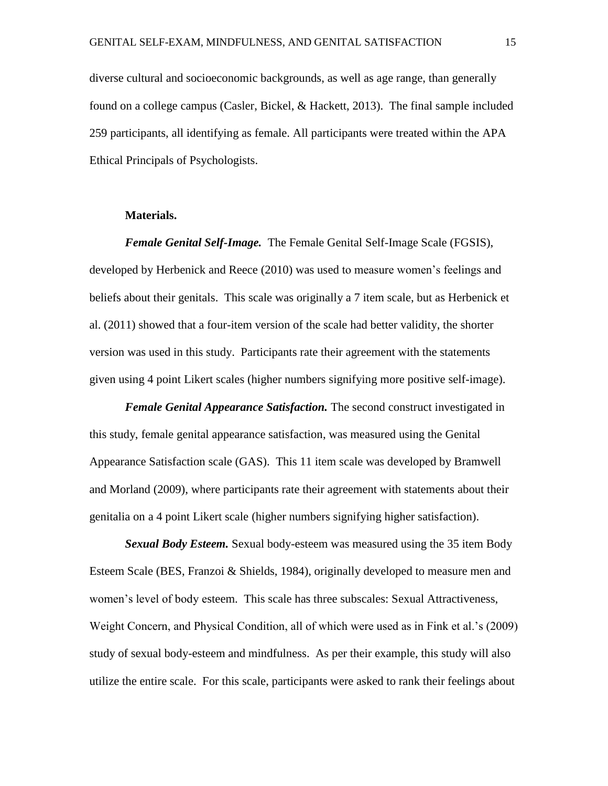diverse cultural and socioeconomic backgrounds, as well as age range, than generally found on a college campus (Casler, Bickel, & Hackett, 2013). The final sample included 259 participants, all identifying as female. All participants were treated within the APA Ethical Principals of Psychologists.

#### **Materials.**

*Female Genital Self-Image.* The Female Genital Self-Image Scale (FGSIS), developed by Herbenick and Reece (2010) was used to measure women's feelings and beliefs about their genitals. This scale was originally a 7 item scale, but as Herbenick et al. (2011) showed that a four-item version of the scale had better validity, the shorter version was used in this study. Participants rate their agreement with the statements given using 4 point Likert scales (higher numbers signifying more positive self-image).

*Female Genital Appearance Satisfaction.* The second construct investigated in this study, female genital appearance satisfaction, was measured using the Genital Appearance Satisfaction scale (GAS). This 11 item scale was developed by Bramwell and Morland (2009), where participants rate their agreement with statements about their genitalia on a 4 point Likert scale (higher numbers signifying higher satisfaction).

*Sexual Body Esteem.* Sexual body-esteem was measured using the 35 item Body Esteem Scale (BES, Franzoi & Shields, 1984), originally developed to measure men and women's level of body esteem. This scale has three subscales: Sexual Attractiveness, Weight Concern, and Physical Condition, all of which were used as in Fink et al.'s (2009) study of sexual body-esteem and mindfulness. As per their example, this study will also utilize the entire scale. For this scale, participants were asked to rank their feelings about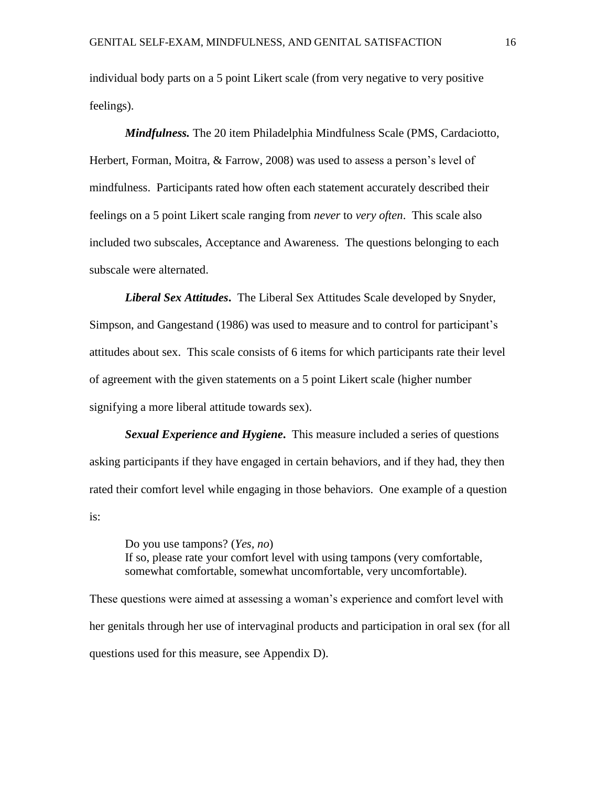individual body parts on a 5 point Likert scale (from very negative to very positive feelings).

*Mindfulness.* The 20 item Philadelphia Mindfulness Scale (PMS, Cardaciotto, Herbert, Forman, Moitra, & Farrow, 2008) was used to assess a person's level of mindfulness. Participants rated how often each statement accurately described their feelings on a 5 point Likert scale ranging from *never* to *very often*. This scale also included two subscales, Acceptance and Awareness. The questions belonging to each subscale were alternated.

*Liberal Sex Attitudes***.** The Liberal Sex Attitudes Scale developed by Snyder, Simpson, and Gangestand (1986) was used to measure and to control for participant's attitudes about sex. This scale consists of 6 items for which participants rate their level of agreement with the given statements on a 5 point Likert scale (higher number signifying a more liberal attitude towards sex).

*Sexual Experience and Hygiene***.** This measure included a series of questions asking participants if they have engaged in certain behaviors, and if they had, they then rated their comfort level while engaging in those behaviors. One example of a question is:

Do you use tampons? (*Yes, no*) If so, please rate your comfort level with using tampons (very comfortable, somewhat comfortable, somewhat uncomfortable, very uncomfortable).

These questions were aimed at assessing a woman's experience and comfort level with her genitals through her use of intervaginal products and participation in oral sex (for all questions used for this measure, see Appendix D).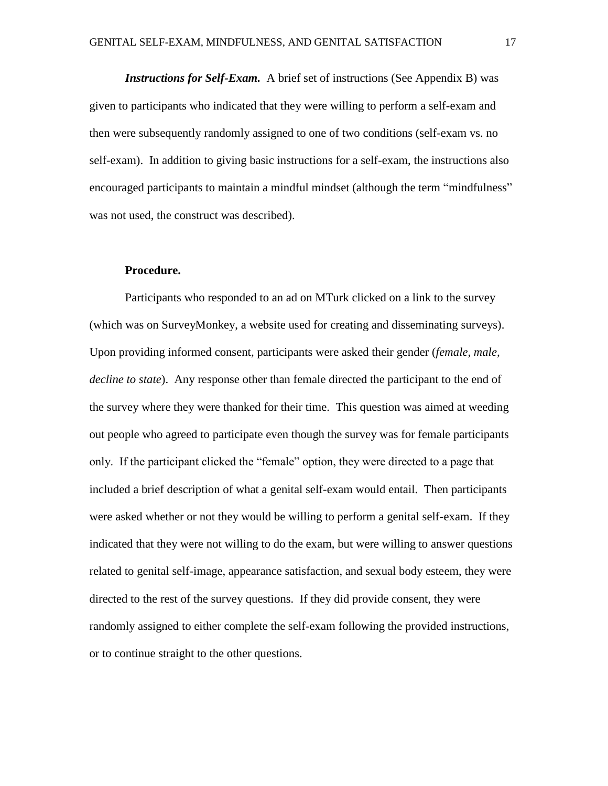*Instructions for Self-Exam.* A brief set of instructions (See Appendix B) was given to participants who indicated that they were willing to perform a self-exam and then were subsequently randomly assigned to one of two conditions (self-exam vs. no self-exam). In addition to giving basic instructions for a self-exam, the instructions also encouraged participants to maintain a mindful mindset (although the term "mindfulness" was not used, the construct was described).

#### **Procedure.**

Participants who responded to an ad on MTurk clicked on a link to the survey (which was on SurveyMonkey, a website used for creating and disseminating surveys). Upon providing informed consent, participants were asked their gender (*female, male, decline to state*). Any response other than female directed the participant to the end of the survey where they were thanked for their time. This question was aimed at weeding out people who agreed to participate even though the survey was for female participants only. If the participant clicked the "female" option, they were directed to a page that included a brief description of what a genital self-exam would entail. Then participants were asked whether or not they would be willing to perform a genital self-exam. If they indicated that they were not willing to do the exam, but were willing to answer questions related to genital self-image, appearance satisfaction, and sexual body esteem, they were directed to the rest of the survey questions. If they did provide consent, they were randomly assigned to either complete the self-exam following the provided instructions, or to continue straight to the other questions.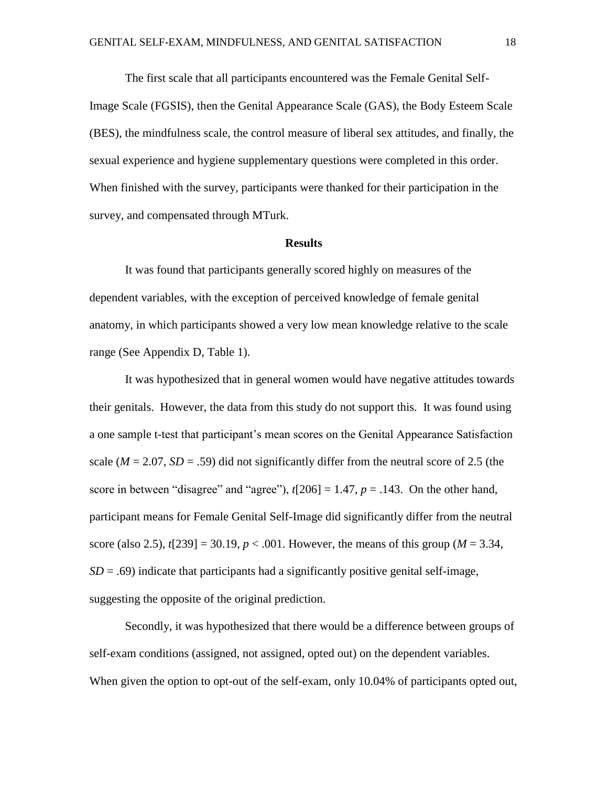The first scale that all participants encountered was the Female Genital Self-Image Scale (FGSIS), then the Genital Appearance Scale (GAS), the Body Esteem Scale (BES), the mindfulness scale, the control measure of liberal sex attitudes, and finally, the sexual experience and hygiene supplementary questions were completed in this order. When finished with the survey, participants were thanked for their participation in the survey, and compensated through MTurk.

#### **Results**

It was found that participants generally scored highly on measures of the dependent variables, with the exception of perceived knowledge of female genital anatomy, in which participants showed a very low mean knowledge relative to the scale range (See Appendix D, Table 1).

It was hypothesized that in general women would have negative attitudes towards their genitals. However, the data from this study do not support this. It was found using a one sample t-test that participant's mean scores on the Genital Appearance Satisfaction scale  $(M = 2.07, SD = .59)$  did not significantly differ from the neutral score of 2.5 (the score in between "disagree" and "agree"),  $t[206] = 1.47$ ,  $p = .143$ . On the other hand, participant means for Female Genital Self-Image did significantly differ from the neutral score (also 2.5),  $t[239] = 30.19$ ,  $p < .001$ . However, the means of this group ( $M = 3.34$ ,  $SD = .69$ ) indicate that participants had a significantly positive genital self-image, suggesting the opposite of the original prediction.

Secondly, it was hypothesized that there would be a difference between groups of self-exam conditions (assigned, not assigned, opted out) on the dependent variables. When given the option to opt-out of the self-exam, only 10.04% of participants opted out,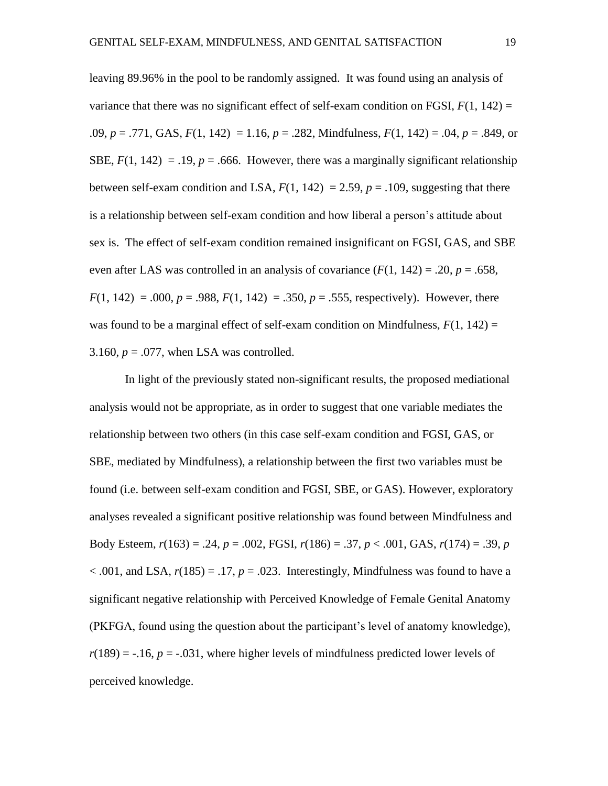leaving 89.96% in the pool to be randomly assigned. It was found using an analysis of variance that there was no significant effect of self-exam condition on FGSI,  $F(1, 142) =$ .09, *p* = .771, GAS, *F*(1, 142) = 1.16, *p* = .282, Mindfulness, *F*(1, 142) = .04, *p* = .849, or SBE,  $F(1, 142) = .19$ ,  $p = .666$ . However, there was a marginally significant relationship between self-exam condition and LSA,  $F(1, 142) = 2.59$ ,  $p = .109$ , suggesting that there is a relationship between self-exam condition and how liberal a person's attitude about sex is. The effect of self-exam condition remained insignificant on FGSI, GAS, and SBE even after LAS was controlled in an analysis of covariance  $(F(1, 142) = .20, p = .658,$  $F(1, 142) = 0.00$ ,  $p = 0.988$ ,  $F(1, 142) = 0.350$ ,  $p = 0.555$ , respectively). However, there was found to be a marginal effect of self-exam condition on Mindfulness,  $F(1, 142) =$ 3.160,  $p = .077$ , when LSA was controlled.

In light of the previously stated non-significant results, the proposed mediational analysis would not be appropriate, as in order to suggest that one variable mediates the relationship between two others (in this case self-exam condition and FGSI, GAS, or SBE, mediated by Mindfulness), a relationship between the first two variables must be found (i.e. between self-exam condition and FGSI, SBE, or GAS). However, exploratory analyses revealed a significant positive relationship was found between Mindfulness and Body Esteem, *r*(163) = .24, *p* = .002, FGSI, *r*(186) = .37, *p* < .001, GAS, *r*(174) = .39, *p*  $< .001$ , and LSA,  $r(185) = .17$ ,  $p = .023$ . Interestingly, Mindfulness was found to have a significant negative relationship with Perceived Knowledge of Female Genital Anatomy (PKFGA, found using the question about the participant's level of anatomy knowledge),  $r(189) = -.16$ ,  $p = -.031$ , where higher levels of mindfulness predicted lower levels of perceived knowledge.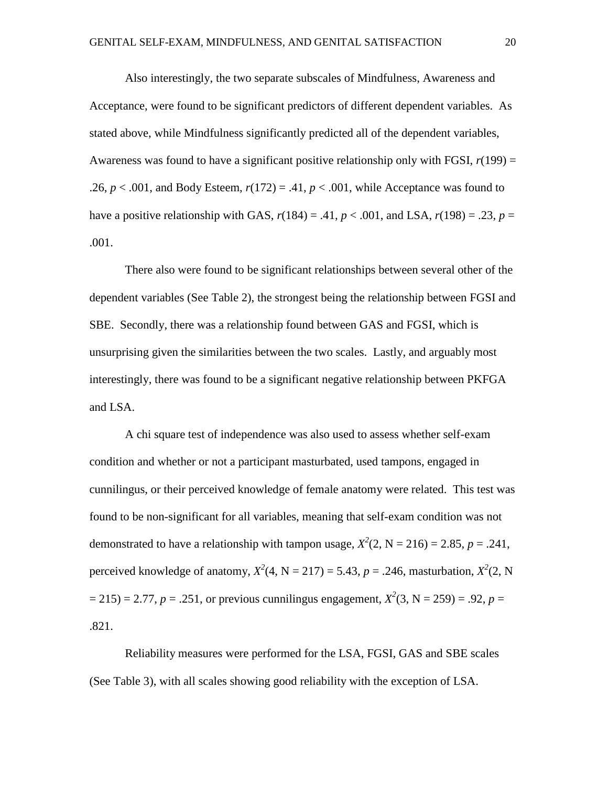Also interestingly, the two separate subscales of Mindfulness, Awareness and Acceptance, were found to be significant predictors of different dependent variables. As stated above, while Mindfulness significantly predicted all of the dependent variables, Awareness was found to have a significant positive relationship only with FGSI,  $r(199) =$ .26,  $p < .001$ , and Body Esteem,  $r(172) = .41$ ,  $p < .001$ , while Acceptance was found to have a positive relationship with GAS,  $r(184) = .41$ ,  $p < .001$ , and LSA,  $r(198) = .23$ ,  $p =$ .001.

There also were found to be significant relationships between several other of the dependent variables (See Table 2), the strongest being the relationship between FGSI and SBE. Secondly, there was a relationship found between GAS and FGSI, which is unsurprising given the similarities between the two scales. Lastly, and arguably most interestingly, there was found to be a significant negative relationship between PKFGA and LSA.

A chi square test of independence was also used to assess whether self-exam condition and whether or not a participant masturbated, used tampons, engaged in cunnilingus, or their perceived knowledge of female anatomy were related. This test was found to be non-significant for all variables, meaning that self-exam condition was not demonstrated to have a relationship with tampon usage,  $X^2(2, N = 216) = 2.85$ ,  $p = .241$ , perceived knowledge of anatomy,  $X^2(4, N = 217) = 5.43$ ,  $p = .246$ , masturbation,  $X^2(2, N)$  $= 215$ ) = 2.77, *p* = .251, or previous cunnilingus engagement,  $X^2(3, N = 259) = .92$ , *p* = .821.

Reliability measures were performed for the LSA, FGSI, GAS and SBE scales (See Table 3), with all scales showing good reliability with the exception of LSA.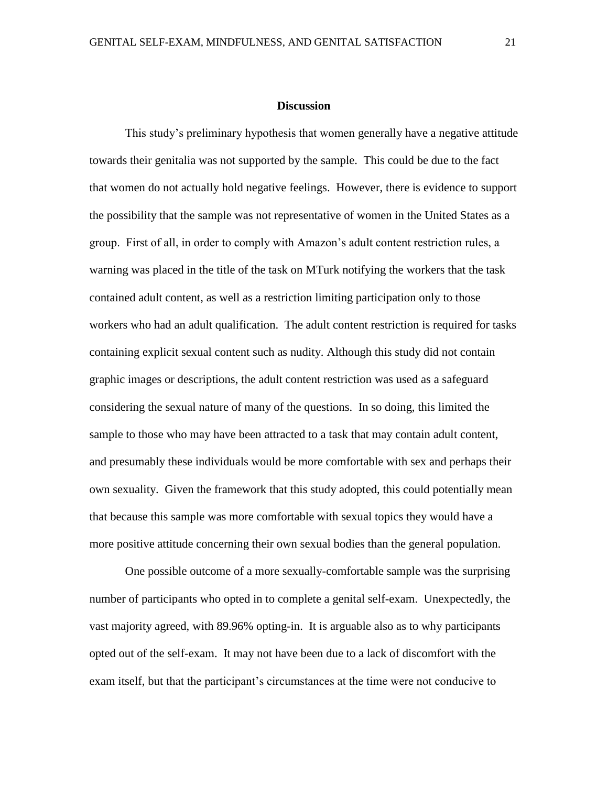#### **Discussion**

This study's preliminary hypothesis that women generally have a negative attitude towards their genitalia was not supported by the sample. This could be due to the fact that women do not actually hold negative feelings. However, there is evidence to support the possibility that the sample was not representative of women in the United States as a group. First of all, in order to comply with Amazon's adult content restriction rules, a warning was placed in the title of the task on MTurk notifying the workers that the task contained adult content, as well as a restriction limiting participation only to those workers who had an adult qualification. The adult content restriction is required for tasks containing explicit sexual content such as nudity. Although this study did not contain graphic images or descriptions, the adult content restriction was used as a safeguard considering the sexual nature of many of the questions. In so doing, this limited the sample to those who may have been attracted to a task that may contain adult content, and presumably these individuals would be more comfortable with sex and perhaps their own sexuality. Given the framework that this study adopted, this could potentially mean that because this sample was more comfortable with sexual topics they would have a more positive attitude concerning their own sexual bodies than the general population.

One possible outcome of a more sexually-comfortable sample was the surprising number of participants who opted in to complete a genital self-exam. Unexpectedly, the vast majority agreed, with 89.96% opting-in. It is arguable also as to why participants opted out of the self-exam. It may not have been due to a lack of discomfort with the exam itself, but that the participant's circumstances at the time were not conducive to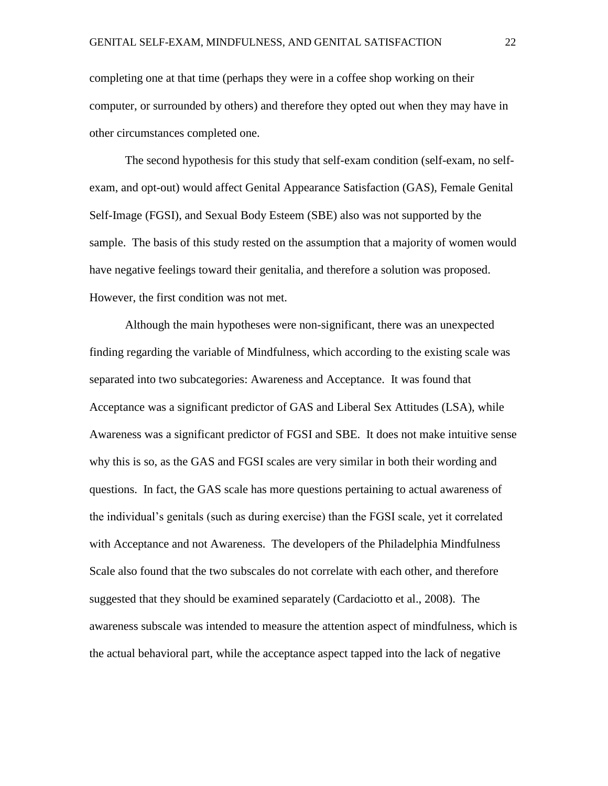completing one at that time (perhaps they were in a coffee shop working on their computer, or surrounded by others) and therefore they opted out when they may have in other circumstances completed one.

The second hypothesis for this study that self-exam condition (self-exam, no selfexam, and opt-out) would affect Genital Appearance Satisfaction (GAS), Female Genital Self-Image (FGSI), and Sexual Body Esteem (SBE) also was not supported by the sample. The basis of this study rested on the assumption that a majority of women would have negative feelings toward their genitalia, and therefore a solution was proposed. However, the first condition was not met.

Although the main hypotheses were non-significant, there was an unexpected finding regarding the variable of Mindfulness, which according to the existing scale was separated into two subcategories: Awareness and Acceptance. It was found that Acceptance was a significant predictor of GAS and Liberal Sex Attitudes (LSA), while Awareness was a significant predictor of FGSI and SBE. It does not make intuitive sense why this is so, as the GAS and FGSI scales are very similar in both their wording and questions. In fact, the GAS scale has more questions pertaining to actual awareness of the individual's genitals (such as during exercise) than the FGSI scale, yet it correlated with Acceptance and not Awareness. The developers of the Philadelphia Mindfulness Scale also found that the two subscales do not correlate with each other, and therefore suggested that they should be examined separately (Cardaciotto et al., 2008). The awareness subscale was intended to measure the attention aspect of mindfulness, which is the actual behavioral part, while the acceptance aspect tapped into the lack of negative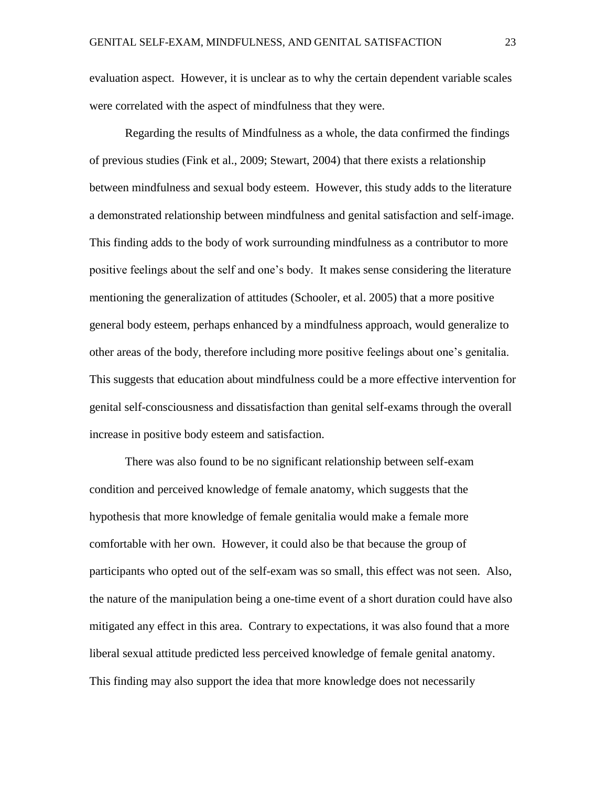evaluation aspect. However, it is unclear as to why the certain dependent variable scales were correlated with the aspect of mindfulness that they were.

Regarding the results of Mindfulness as a whole, the data confirmed the findings of previous studies (Fink et al., 2009; Stewart, 2004) that there exists a relationship between mindfulness and sexual body esteem. However, this study adds to the literature a demonstrated relationship between mindfulness and genital satisfaction and self-image. This finding adds to the body of work surrounding mindfulness as a contributor to more positive feelings about the self and one's body. It makes sense considering the literature mentioning the generalization of attitudes (Schooler, et al. 2005) that a more positive general body esteem, perhaps enhanced by a mindfulness approach, would generalize to other areas of the body, therefore including more positive feelings about one's genitalia. This suggests that education about mindfulness could be a more effective intervention for genital self-consciousness and dissatisfaction than genital self-exams through the overall increase in positive body esteem and satisfaction.

There was also found to be no significant relationship between self-exam condition and perceived knowledge of female anatomy, which suggests that the hypothesis that more knowledge of female genitalia would make a female more comfortable with her own. However, it could also be that because the group of participants who opted out of the self-exam was so small, this effect was not seen. Also, the nature of the manipulation being a one-time event of a short duration could have also mitigated any effect in this area. Contrary to expectations, it was also found that a more liberal sexual attitude predicted less perceived knowledge of female genital anatomy. This finding may also support the idea that more knowledge does not necessarily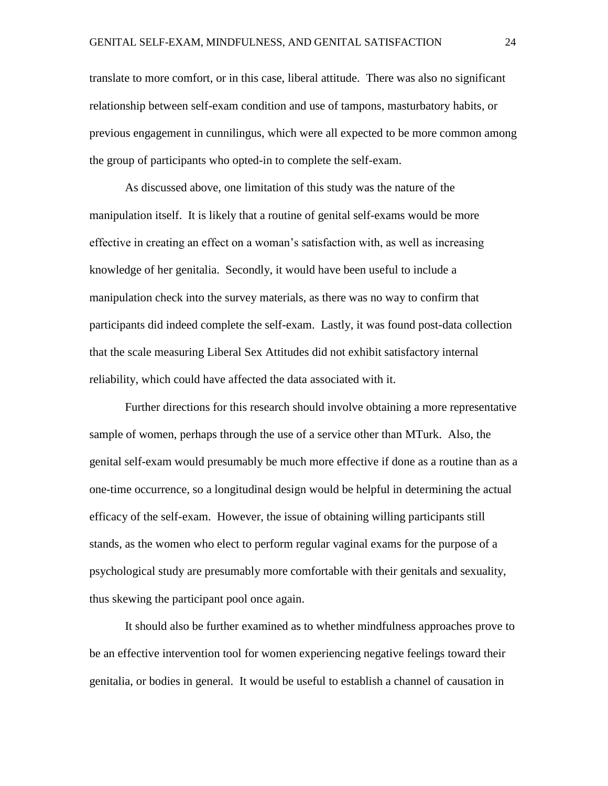translate to more comfort, or in this case, liberal attitude. There was also no significant relationship between self-exam condition and use of tampons, masturbatory habits, or previous engagement in cunnilingus, which were all expected to be more common among the group of participants who opted-in to complete the self-exam.

As discussed above, one limitation of this study was the nature of the manipulation itself. It is likely that a routine of genital self-exams would be more effective in creating an effect on a woman's satisfaction with, as well as increasing knowledge of her genitalia. Secondly, it would have been useful to include a manipulation check into the survey materials, as there was no way to confirm that participants did indeed complete the self-exam. Lastly, it was found post-data collection that the scale measuring Liberal Sex Attitudes did not exhibit satisfactory internal reliability, which could have affected the data associated with it.

Further directions for this research should involve obtaining a more representative sample of women, perhaps through the use of a service other than MTurk. Also, the genital self-exam would presumably be much more effective if done as a routine than as a one-time occurrence, so a longitudinal design would be helpful in determining the actual efficacy of the self-exam. However, the issue of obtaining willing participants still stands, as the women who elect to perform regular vaginal exams for the purpose of a psychological study are presumably more comfortable with their genitals and sexuality, thus skewing the participant pool once again.

It should also be further examined as to whether mindfulness approaches prove to be an effective intervention tool for women experiencing negative feelings toward their genitalia, or bodies in general. It would be useful to establish a channel of causation in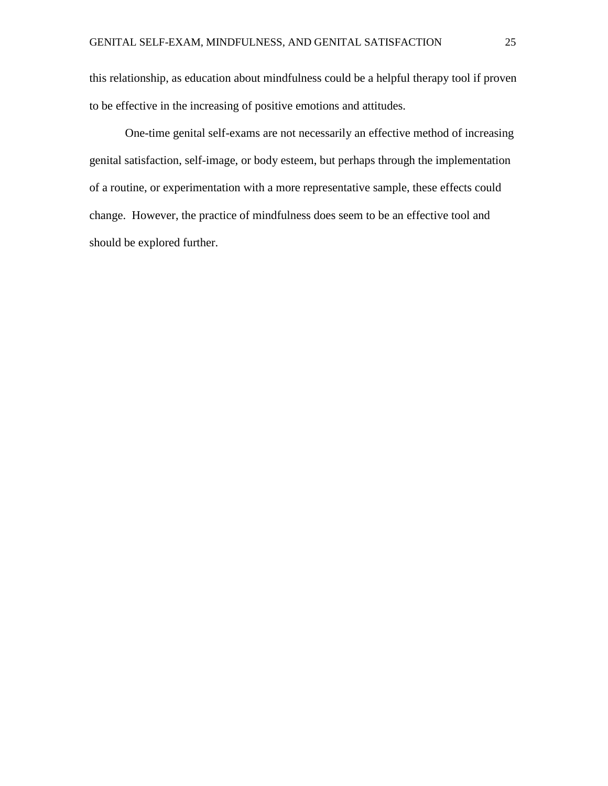this relationship, as education about mindfulness could be a helpful therapy tool if proven to be effective in the increasing of positive emotions and attitudes.

One-time genital self-exams are not necessarily an effective method of increasing genital satisfaction, self-image, or body esteem, but perhaps through the implementation of a routine, or experimentation with a more representative sample, these effects could change. However, the practice of mindfulness does seem to be an effective tool and should be explored further.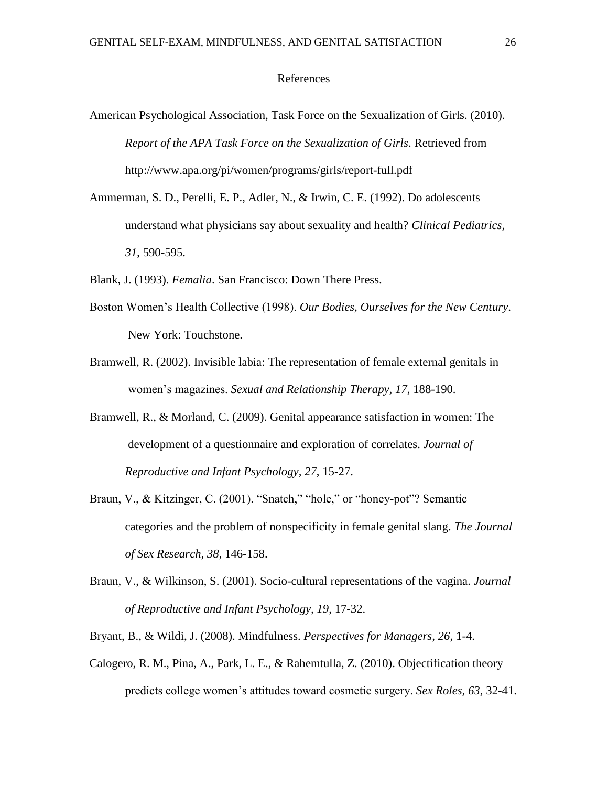#### References

- American Psychological Association, Task Force on the Sexualization of Girls. (2010). *Report of the APA Task Force on the Sexualization of Girls*. Retrieved from http://www.apa.org/pi/women/programs/girls/report-full.pdf
- Ammerman, S. D., Perelli, E. P., Adler, N., & Irwin, C. E. (1992). Do adolescents understand what physicians say about sexuality and health? *Clinical Pediatrics, 31*, 590-595.
- Blank, J. (1993). *Femalia*. San Francisco: Down There Press.
- Boston Women's Health Collective (1998). *Our Bodies, Ourselves for the New Century*. New York: Touchstone.
- Bramwell, R. (2002). Invisible labia: The representation of female external genitals in women's magazines. *Sexual and Relationship Therapy, 17*, 188-190.
- Bramwell, R., & Morland, C. (2009). Genital appearance satisfaction in women: The development of a questionnaire and exploration of correlates. *Journal of Reproductive and Infant Psychology, 27*, 15-27.
- Braun, V., & Kitzinger, C. (2001). "Snatch," "hole," or "honey-pot"? Semantic categories and the problem of nonspecificity in female genital slang. *The Journal of Sex Research, 38*, 146-158.
- Braun, V., & Wilkinson, S. (2001). Socio-cultural representations of the vagina. *Journal of Reproductive and Infant Psychology, 19*, 17-32.
- Bryant, B., & Wildi, J. (2008). Mindfulness. *Perspectives for Managers, 26*, 1-4.
- Calogero, R. M., Pina, A., Park, L. E., & Rahemtulla, Z. (2010). Objectification theory predicts college women's attitudes toward cosmetic surgery. *Sex Roles, 63*, 32-41.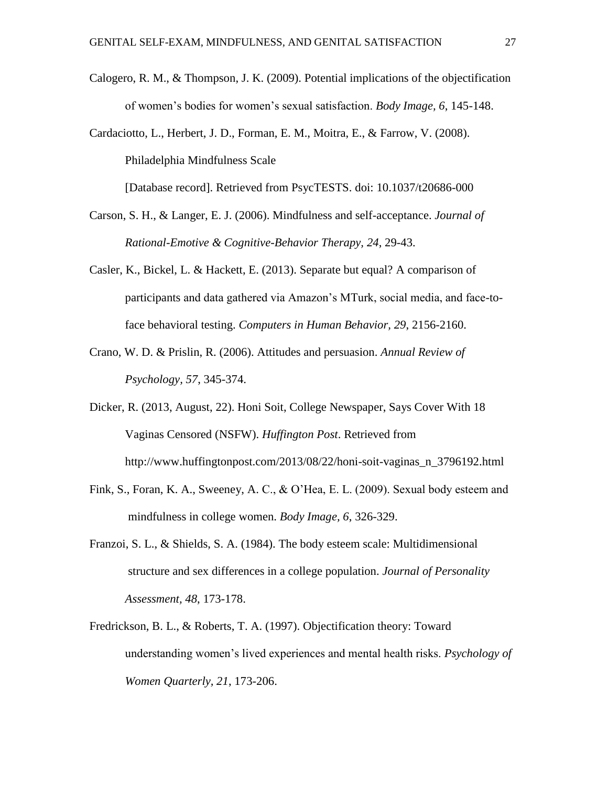- Calogero, R. M., & Thompson, J. K. (2009). Potential implications of the objectification of women's bodies for women's sexual satisfaction. *Body Image, 6*, 145-148.
- Cardaciotto, L., Herbert, J. D., Forman, E. M., Moitra, E., & Farrow, V. (2008). Philadelphia Mindfulness Scale [Database record]. Retrieved from PsycTESTS. doi: 10.1037/t20686-000
- Carson, S. H., & Langer, E. J. (2006). Mindfulness and self-acceptance. *Journal of* 
	- *Rational-Emotive & Cognitive-Behavior Therapy, 24*, 29-43.
- Casler, K., Bickel, L. & Hackett, E. (2013). Separate but equal? A comparison of participants and data gathered via Amazon's MTurk, social media, and face-toface behavioral testing. *Computers in Human Behavior, 29*, 2156-2160.
- Crano, W. D. & Prislin, R. (2006). Attitudes and persuasion. *Annual Review of Psychology, 57*, 345-374.
- Dicker, R. (2013, August, 22). Honi Soit, College Newspaper, Says Cover With 18 Vaginas Censored (NSFW). *Huffington Post*. Retrieved from http://www.huffingtonpost.com/2013/08/22/honi-soit-vaginas\_n\_3796192.html
- Fink, S., Foran, K. A., Sweeney, A. C., & O'Hea, E. L. (2009). Sexual body esteem and mindfulness in college women. *Body Image, 6*, 326-329.
- Franzoi, S. L., & Shields, S. A. (1984). The body esteem scale: Multidimensional structure and sex differences in a college population. *Journal of Personality Assessment, 48*, 173-178.
- Fredrickson, B. L., & Roberts, T. A. (1997). Objectification theory: Toward understanding women's lived experiences and mental health risks. *Psychology of Women Quarterly, 21*, 173-206.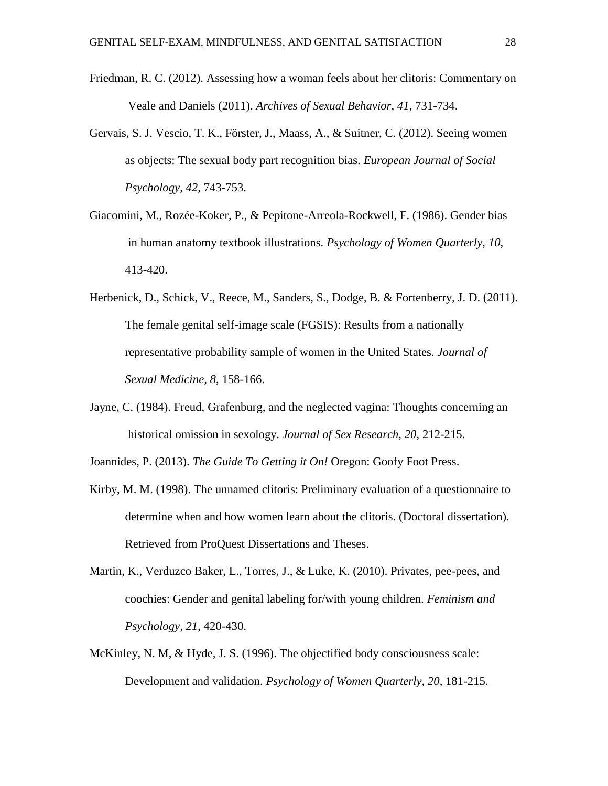- Friedman, R. C. (2012). Assessing how a woman feels about her clitoris: Commentary on Veale and Daniels (2011). *Archives of Sexual Behavior, 41*, 731-734.
- Gervais, S. J. Vescio, T. K., Förster, J., Maass, A., & Suitner, C. (2012). Seeing women as objects: The sexual body part recognition bias. *European Journal of Social Psychology, 42*, 743-753.
- Giacomini, M., Rozée-Koker, P., & Pepitone-Arreola-Rockwell, F. (1986). Gender bias in human anatomy textbook illustrations. *Psychology of Women Quarterly, 10*, 413-420.
- Herbenick, D., Schick, V., Reece, M., Sanders, S., Dodge, B. & Fortenberry, J. D. (2011). The female genital self-image scale (FGSIS): Results from a nationally representative probability sample of women in the United States. *Journal of Sexual Medicine, 8*, 158-166.
- Jayne, C. (1984). Freud, Grafenburg, and the neglected vagina: Thoughts concerning an historical omission in sexology. *Journal of Sex Research, 20*, 212-215.
- Joannides, P. (2013). *The Guide To Getting it On!* Oregon: Goofy Foot Press.
- Kirby, M. M. (1998). The unnamed clitoris: Preliminary evaluation of a questionnaire to determine when and how women learn about the clitoris. (Doctoral dissertation). Retrieved from ProQuest Dissertations and Theses.
- Martin, K., Verduzco Baker, L., Torres, J., & Luke, K. (2010). Privates, pee-pees, and coochies: Gender and genital labeling for/with young children. *Feminism and Psychology, 21*, 420-430.
- McKinley, N. M, & Hyde, J. S. (1996). The objectified body consciousness scale: Development and validation. *Psychology of Women Quarterly, 20*, 181-215.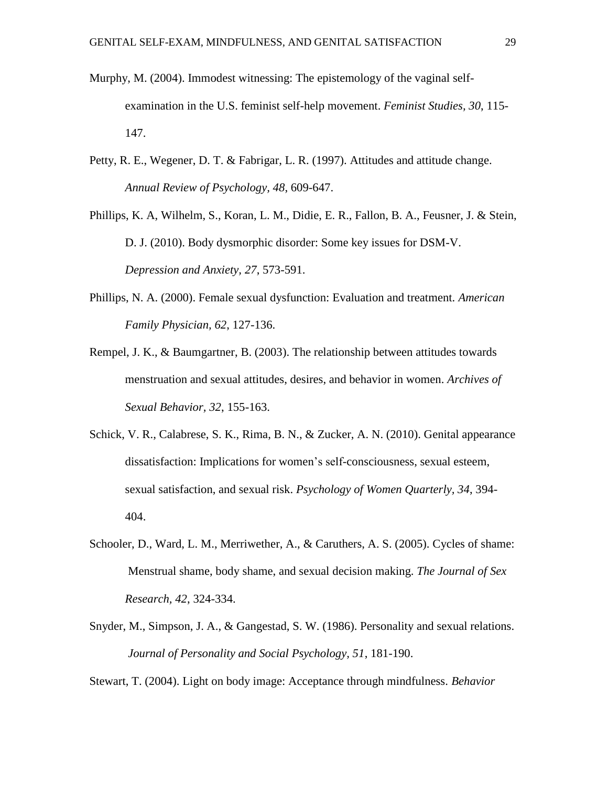- Murphy, M. (2004). Immodest witnessing: The epistemology of the vaginal selfexamination in the U.S. feminist self-help movement. *Feminist Studies, 30*, 115- 147.
- Petty, R. E., Wegener, D. T. & Fabrigar, L. R. (1997). Attitudes and attitude change. *Annual Review of Psychology, 48*, 609-647.
- Phillips, K. A, Wilhelm, S., Koran, L. M., Didie, E. R., Fallon, B. A., Feusner, J. & Stein, D. J. (2010). Body dysmorphic disorder: Some key issues for DSM-V. *Depression and Anxiety, 27*, 573-591.
- Phillips, N. A. (2000). Female sexual dysfunction: Evaluation and treatment. *American Family Physician, 62*, 127-136.
- Rempel, J. K., & Baumgartner, B. (2003). The relationship between attitudes towards menstruation and sexual attitudes, desires, and behavior in women. *Archives of Sexual Behavior, 32*, 155-163.
- Schick, V. R., Calabrese, S. K., Rima, B. N., & Zucker, A. N. (2010). Genital appearance dissatisfaction: Implications for women's self-consciousness, sexual esteem, sexual satisfaction, and sexual risk. *Psychology of Women Quarterly, 34*, 394- 404.
- Schooler, D., Ward, L. M., Merriwether, A., & Caruthers, A. S. (2005). Cycles of shame: Menstrual shame, body shame, and sexual decision making. *The Journal of Sex Research, 42*, 324-334.
- Snyder, M., Simpson, J. A., & Gangestad, S. W. (1986). Personality and sexual relations. *Journal of Personality and Social Psychology, 51*, 181-190.

Stewart, T. (2004). Light on body image: Acceptance through mindfulness. *Behavior*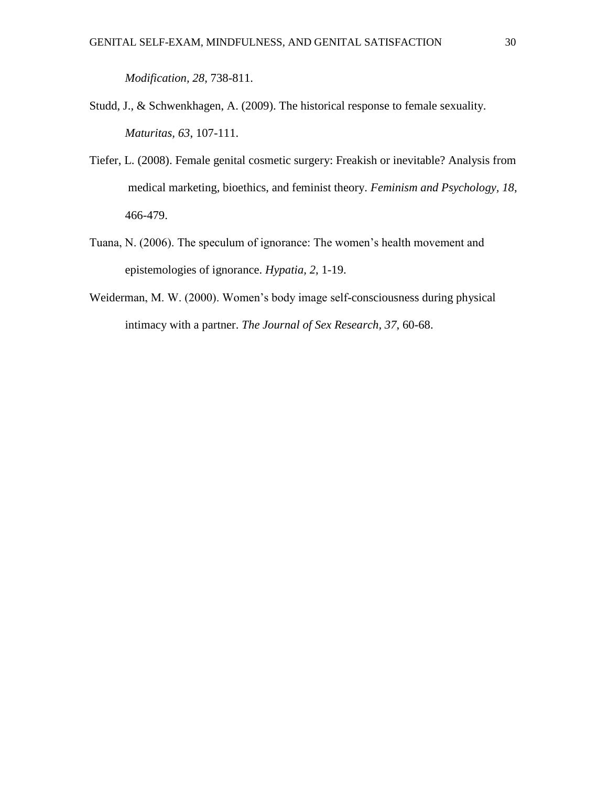*Modification, 28*, 738-811.

- Studd, J., & Schwenkhagen, A. (2009). The historical response to female sexuality. *Maturitas, 63*, 107-111.
- Tiefer, L. (2008). Female genital cosmetic surgery: Freakish or inevitable? Analysis from medical marketing, bioethics, and feminist theory. *Feminism and Psychology, 18*, 466-479.
- Tuana, N. (2006). The speculum of ignorance: The women's health movement and epistemologies of ignorance. *Hypatia, 2*, 1-19.
- Weiderman, M. W. (2000). Women's body image self-consciousness during physical intimacy with a partner. *The Journal of Sex Research, 37*, 60-68.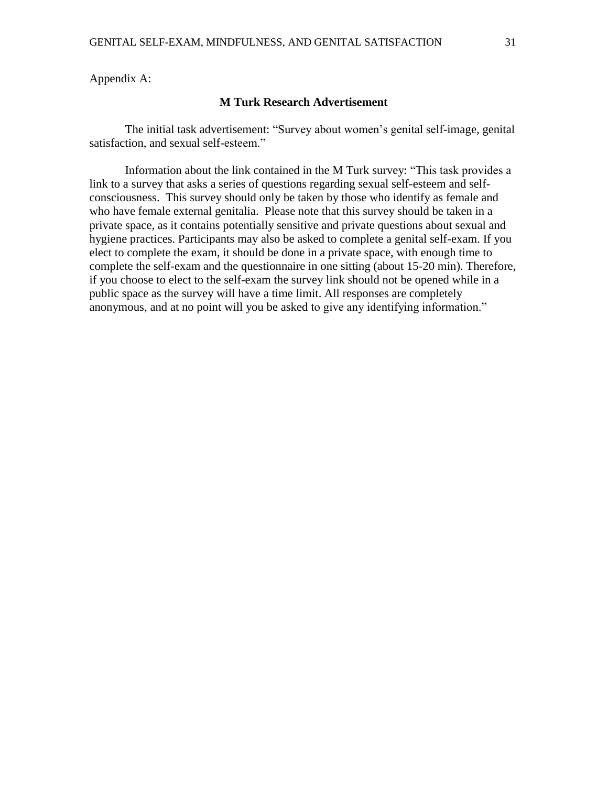Appendix A:

#### **M Turk Research Advertisement**

The initial task advertisement: "Survey about women's genital self-image, genital satisfaction, and sexual self-esteem."

Information about the link contained in the M Turk survey: "This task provides a link to a survey that asks a series of questions regarding sexual self-esteem and selfconsciousness. This survey should only be taken by those who identify as female and who have female external genitalia. Please note that this survey should be taken in a private space, as it contains potentially sensitive and private questions about sexual and hygiene practices. Participants may also be asked to complete a genital self-exam. If you elect to complete the exam, it should be done in a private space, with enough time to complete the self-exam and the questionnaire in one sitting (about 15-20 min). Therefore, if you choose to elect to the self-exam the survey link should not be opened while in a public space as the survey will have a time limit. All responses are completely anonymous, and at no point will you be asked to give any identifying information."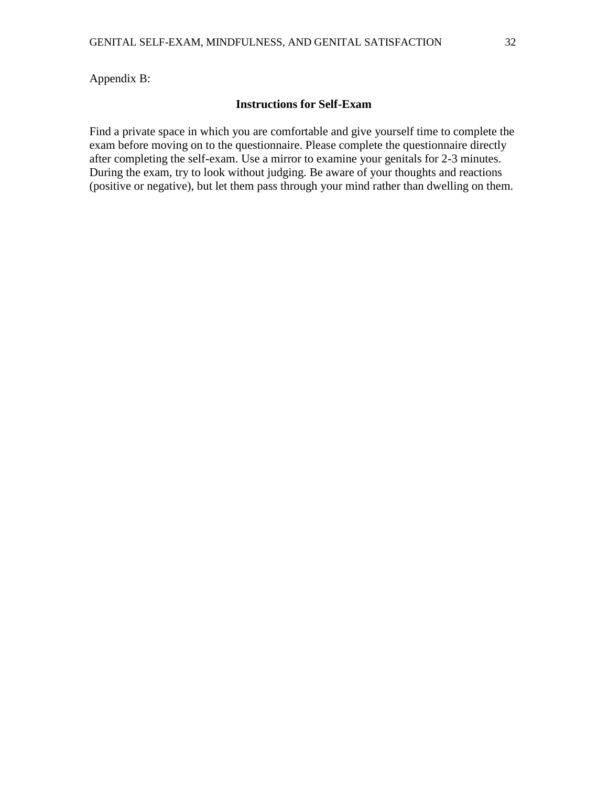Appendix B:

#### **Instructions for Self-Exam**

Find a private space in which you are comfortable and give yourself time to complete the exam before moving on to the questionnaire. Please complete the questionnaire directly after completing the self-exam. Use a mirror to examine your genitals for 2-3 minutes. During the exam, try to look without judging. Be aware of your thoughts and reactions (positive or negative), but let them pass through your mind rather than dwelling on them.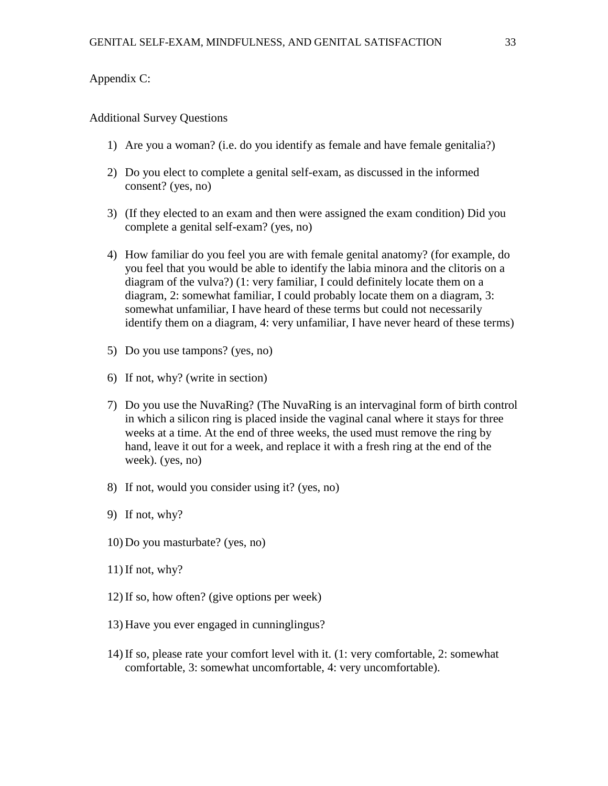#### Appendix C:

#### Additional Survey Questions

- 1) Are you a woman? (i.e. do you identify as female and have female genitalia?)
- 2) Do you elect to complete a genital self-exam, as discussed in the informed consent? (yes, no)
- 3) (If they elected to an exam and then were assigned the exam condition) Did you complete a genital self-exam? (yes, no)
- 4) How familiar do you feel you are with female genital anatomy? (for example, do you feel that you would be able to identify the labia minora and the clitoris on a diagram of the vulva?) (1: very familiar, I could definitely locate them on a diagram, 2: somewhat familiar, I could probably locate them on a diagram, 3: somewhat unfamiliar, I have heard of these terms but could not necessarily identify them on a diagram, 4: very unfamiliar, I have never heard of these terms)
- 5) Do you use tampons? (yes, no)
- 6) If not, why? (write in section)
- 7) Do you use the NuvaRing? (The NuvaRing is an intervaginal form of birth control in which a silicon ring is placed inside the vaginal canal where it stays for three weeks at a time. At the end of three weeks, the used must remove the ring by hand, leave it out for a week, and replace it with a fresh ring at the end of the week). (yes, no)
- 8) If not, would you consider using it? (yes, no)
- 9) If not, why?
- 10) Do you masturbate? (yes, no)
- 11) If not, why?
- 12) If so, how often? (give options per week)
- 13) Have you ever engaged in cunninglingus?
- 14) If so, please rate your comfort level with it. (1: very comfortable, 2: somewhat comfortable, 3: somewhat uncomfortable, 4: very uncomfortable).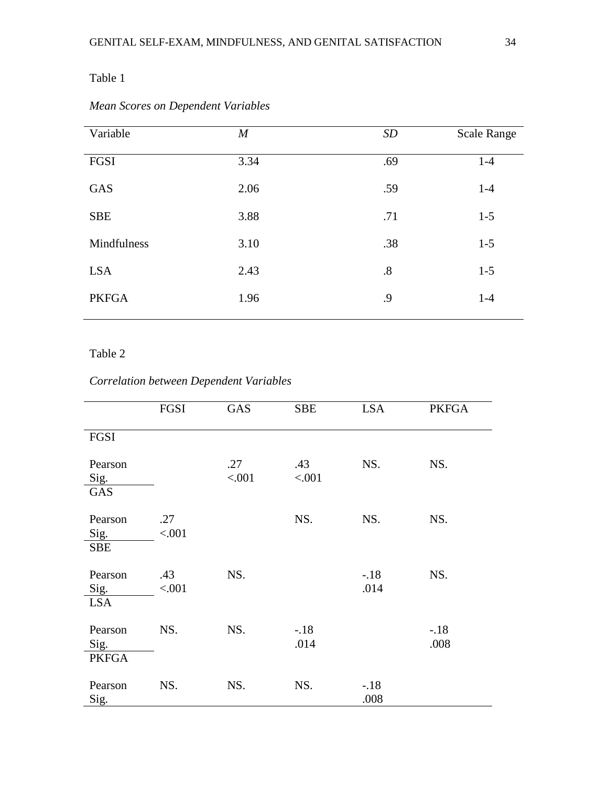## Table 1

| Variable     | $\boldsymbol{M}$ | SD  | <b>Scale Range</b> |
|--------------|------------------|-----|--------------------|
| FGSI         | 3.34             | .69 | $1-4$              |
| GAS          | 2.06             | .59 | $1-4$              |
| <b>SBE</b>   | 3.88             | .71 | $1-5$              |
| Mindfulness  | 3.10             | .38 | $1 - 5$            |
| <b>LSA</b>   | 2.43             | .8  | $1-5$              |
| <b>PKFGA</b> | 1.96             | .9  | $1-4$              |

## *Mean Scores on Dependent Variables*

### Table 2

## *Correlation between Dependent Variables*

|                                 | FGSI          | GAS           | <b>SBE</b>     | <b>LSA</b>     | <b>PKFGA</b>   |
|---------------------------------|---------------|---------------|----------------|----------------|----------------|
| FGSI                            |               |               |                |                |                |
| Pearson<br>Sig.<br><b>GAS</b>   |               | .27<br>< .001 | .43<br>< .001  | NS.            | NS.            |
| Pearson<br>Sig.<br><b>SBE</b>   | .27<br>< .001 |               | NS.            | NS.            | NS.            |
| Pearson<br>Sig.<br><b>LSA</b>   | .43<br>< .001 | NS.           |                | $-18$<br>.014  | NS.            |
| Pearson<br>Sig.<br><b>PKFGA</b> | NS.           | NS.           | $-.18$<br>.014 |                | $-.18$<br>.008 |
| Pearson<br>Sig.                 | NS.           | NS.           | NS.            | $-.18$<br>.008 |                |